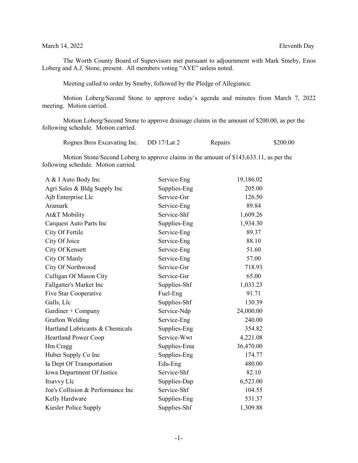March 14, 2022 Eleventh Day

The Worth County Board of Supervisors met pursuant to adjournment with Mark Smeby, Enos Loberg and A.J. Stone, present. All members voting "AYE" unless noted.

Meeting called to order by Smeby, followed by the Pledge of Allegiance.

Motion Loberg/Second Stone to approve today's agenda and minutes from March 7, 2022 meeting. Motion carried.

Motion Loberg/Second Stone to approve drainage claims in the amount of \$200.00, as per the following schedule. Motion carried.

| Rognes Bros Excavating Inc. | DD $17/Lat$ 2 | Repairs | \$200.00 |
|-----------------------------|---------------|---------|----------|
|                             |               |         |          |

Motion Stone/Second Loberg to approve claims in the amount of \$143,633.11, as per the following schedule. Motion carried.

| A & I Auto Body Inc               | Service-Eng  | 19,186.02 |
|-----------------------------------|--------------|-----------|
| Agri Sales & Bldg Supply Inc      | Supplies-Eng | 205.00    |
| Ajb Enterprise Llc                | Service-Gsr  | 126.50    |
| Aramark                           | Service-Eng  | 89.84     |
| At&T Mobility                     | Service-Shf  | 1,609.26  |
| Carquest Auto Parts Inc           | Supplies-Eng | 1,934.30  |
| City Of Fertile                   | Service-Eng  | 89.37     |
| City Of Joice                     | Service-Eng  | 88.10     |
| City Of Kensett                   | Service-Eng  | 51.60     |
| City Of Manly                     | Service-Eng  | 57.00     |
| City Of Northwood                 | Service-Gsr  | 718.93    |
| Culligan Of Mason City            | Service-Gsr  | 65.00     |
| Fallgatter's Market Inc           | Supplies-Shf | 1,033.23  |
| Five Star Cooperative             | Fuel-Eng     | 91.71     |
| Galls, Llc                        | Supplies-Shf | 130.39    |
| Gardiner + Company                | Service-Ndp  | 24,000.00 |
| Grafton Welding                   | Service-Eng  | 240.00    |
| Hartland Lubricants & Chemicals   | Supplies-Eng | 354.82    |
| <b>Heartland Power Coop</b>       | Service-Wwt  | 4,221.08  |
| Hm Cragg                          | Supplies-Ema | 36,470.00 |
| Huber Supply Co Inc               | Supplies-Eng | 174.77    |
| Ia Dept Of Transportation         | Edu-Eng      | 480.00    |
| Iowa Department Of Justice        | Service-Shf  | 82.10     |
| Itsavvy Llc                       | Supplies-Dap | 6,523.00  |
| Joe's Collision & Performance Inc | Service-Shf  | 104.55    |
| Kelly Hardware                    | Supplies-Eng | 531.37    |
| Kiesler Police Supply             | Supplies-Shf | 1,309.88  |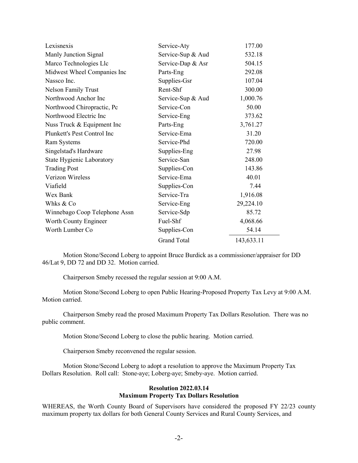| Lexisnexis                       | Service-Aty        | 177.00     |
|----------------------------------|--------------------|------------|
| Manly Junction Signal            | Service-Sup & Aud  | 532.18     |
| Marco Technologies Llc           | Service-Dap & Asr  | 504.15     |
| Midwest Wheel Companies Inc      | Parts-Eng          | 292.08     |
| Nassco Inc.                      | Supplies-Gsr       | 107.04     |
| <b>Nelson Family Trust</b>       | Rent-Shf           | 300.00     |
| Northwood Anchor Inc             | Service-Sup & Aud  | 1,000.76   |
| Northwood Chiropractic, Pc       | Service-Con        | 50.00      |
| Northwood Electric Inc           | Service-Eng        | 373.62     |
| Nuss Truck & Equipment Inc       | Parts-Eng          | 3,761.27   |
| Plunkett's Pest Control Inc      | Service-Ema        | 31.20      |
| Ram Systems                      | Service-Phd        | 720.00     |
| Singelstad's Hardware            | Supplies-Eng       | 27.98      |
| <b>State Hygienic Laboratory</b> | Service-San        | 248.00     |
| <b>Trading Post</b>              | Supplies-Con       | 143.86     |
| <b>Verizon Wireless</b>          | Service-Ema        | 40.01      |
| Viafield                         | Supplies-Con       | 7.44       |
| Wex Bank                         | Service-Tra        | 1,916.08   |
| Whks & Co                        | Service-Eng        | 29,224.10  |
| Winnebago Coop Telephone Assn    | Service-Sdp        | 85.72      |
| Worth County Engineer            | Fuel-Shf           | 4,068.66   |
| Worth Lumber Co                  | Supplies-Con       | 54.14      |
|                                  | <b>Grand Total</b> | 143,633.11 |

Motion Stone/Second Loberg to appoint Bruce Burdick as a commissioner/appraiser for DD 46/Lat 9, DD 72 and DD 32. Motion carried.

Chairperson Smeby recessed the regular session at 9:00 A.M.

Motion Stone/Second Loberg to open Public Hearing-Proposed Property Tax Levy at 9:00 A.M. Motion carried.

Chairperson Smeby read the prosed Maximum Property Tax Dollars Resolution. There was no public comment.

Motion Stone/Second Loberg to close the public hearing. Motion carried.

Chairperson Smeby reconvened the regular session.

Motion Stone/Second Loberg to adopt a resolution to approve the Maximum Property Tax Dollars Resolution. Roll call: Stone-aye; Loberg-aye; Smeby-aye. Motion carried.

## **Resolution 2022.03.14 Maximum Property Tax Dollars Resolution**

WHEREAS, the Worth County Board of Supervisors have considered the proposed FY 22/23 county maximum property tax dollars for both General County Services and Rural County Services, and